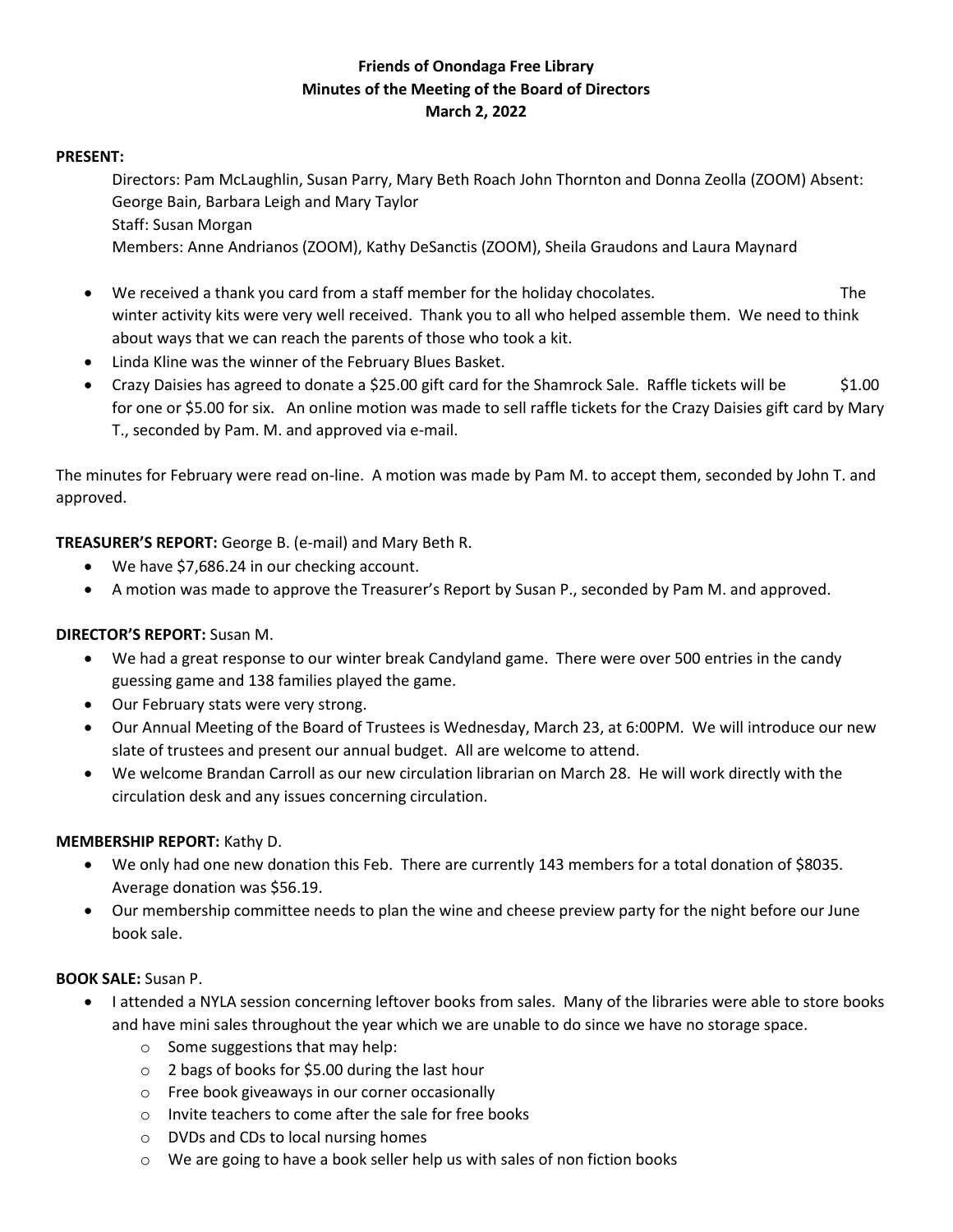# **Friends of Onondaga Free Library Minutes of the Meeting of the Board of Directors March 2, 2022**

### **PRESENT:**

Directors: Pam McLaughlin, Susan Parry, Mary Beth Roach John Thornton and Donna Zeolla (ZOOM) Absent: George Bain, Barbara Leigh and Mary Taylor Staff: Susan Morgan

Members: Anne Andrianos (ZOOM), Kathy DeSanctis (ZOOM), Sheila Graudons and Laura Maynard

- We received a thank you card from a staff member for the holiday chocolates. The winter activity kits were very well received. Thank you to all who helped assemble them. We need to think about ways that we can reach the parents of those who took a kit.
- Linda Kline was the winner of the February Blues Basket.
- Crazy Daisies has agreed to donate a \$25.00 gift card for the Shamrock Sale. Raffle tickets will be \$1.00 for one or \$5.00 for six. An online motion was made to sell raffle tickets for the Crazy Daisies gift card by Mary T., seconded by Pam. M. and approved via e-mail.

The minutes for February were read on-line. A motion was made by Pam M. to accept them, seconded by John T. and approved.

**TREASURER'S REPORT:** George B. (e-mail) and Mary Beth R.

- We have \$7,686.24 in our checking account.
- A motion was made to approve the Treasurer's Report by Susan P., seconded by Pam M. and approved.

## **DIRECTOR'S REPORT:** Susan M.

- We had a great response to our winter break Candyland game. There were over 500 entries in the candy guessing game and 138 families played the game.
- Our February stats were very strong.
- Our Annual Meeting of the Board of Trustees is Wednesday, March 23, at 6:00PM. We will introduce our new slate of trustees and present our annual budget. All are welcome to attend.
- We welcome Brandan Carroll as our new circulation librarian on March 28. He will work directly with the circulation desk and any issues concerning circulation.

## **MEMBERSHIP REPORT:** Kathy D.

- We only had one new donation this Feb. There are currently 143 members for a total donation of \$8035. Average donation was \$56.19.
- Our membership committee needs to plan the wine and cheese preview party for the night before our June book sale.

#### **BOOK SALE:** Susan P.

- I attended a NYLA session concerning leftover books from sales. Many of the libraries were able to store books and have mini sales throughout the year which we are unable to do since we have no storage space.
	- $\circ$  Some suggestions that may help:
	- o 2 bags of books for \$5.00 during the last hour
	- o Free book giveaways in our corner occasionally
	- o Invite teachers to come after the sale for free books
	- o DVDs and CDs to local nursing homes
	- o We are going to have a book seller help us with sales of non fiction books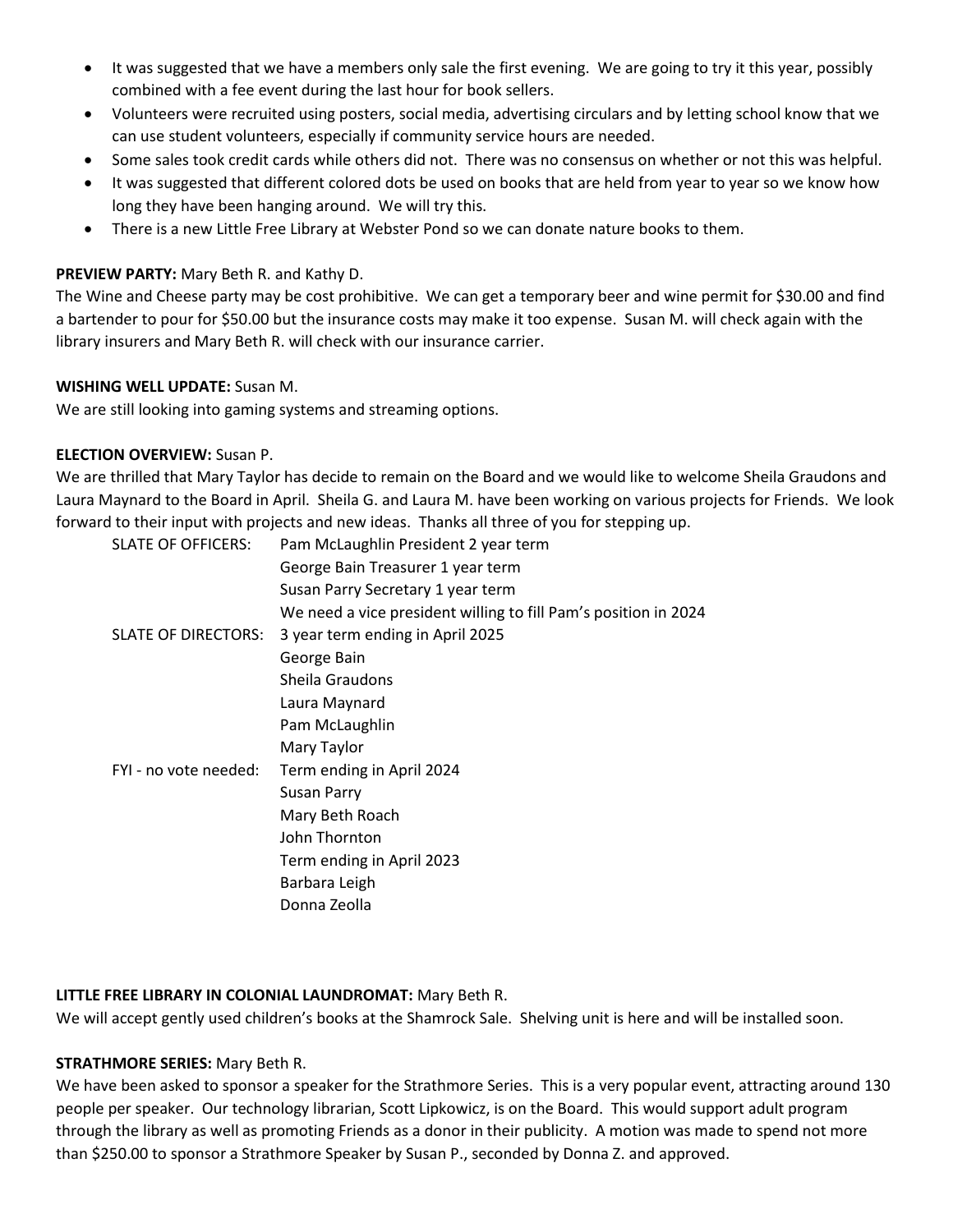- It was suggested that we have a members only sale the first evening. We are going to try it this year, possibly combined with a fee event during the last hour for book sellers.
- Volunteers were recruited using posters, social media, advertising circulars and by letting school know that we can use student volunteers, especially if community service hours are needed.
- Some sales took credit cards while others did not. There was no consensus on whether or not this was helpful.
- It was suggested that different colored dots be used on books that are held from year to year so we know how long they have been hanging around. We will try this.
- There is a new Little Free Library at Webster Pond so we can donate nature books to them.

### **PREVIEW PARTY:** Mary Beth R. and Kathy D.

The Wine and Cheese party may be cost prohibitive. We can get a temporary beer and wine permit for \$30.00 and find a bartender to pour for \$50.00 but the insurance costs may make it too expense. Susan M. will check again with the library insurers and Mary Beth R. will check with our insurance carrier.

#### **WISHING WELL UPDATE:** Susan M.

We are still looking into gaming systems and streaming options.

#### **ELECTION OVERVIEW:** Susan P.

We are thrilled that Mary Taylor has decide to remain on the Board and we would like to welcome Sheila Graudons and Laura Maynard to the Board in April. Sheila G. and Laura M. have been working on various projects for Friends. We look forward to their input with projects and new ideas. Thanks all three of you for stepping up.

| <b>SLATE OF OFFICERS:</b> | Pam McLaughlin President 2 year term                            |
|---------------------------|-----------------------------------------------------------------|
|                           | George Bain Treasurer 1 year term                               |
|                           | Susan Parry Secretary 1 year term                               |
|                           | We need a vice president willing to fill Pam's position in 2024 |
| SLATE OF DIRECTORS:       | 3 year term ending in April 2025                                |
|                           | George Bain                                                     |
|                           | Sheila Graudons                                                 |
|                           | Laura Maynard                                                   |
|                           | Pam McLaughlin                                                  |
|                           | Mary Taylor                                                     |
| FYI - no vote needed:     | Term ending in April 2024                                       |
|                           | <b>Susan Parry</b>                                              |
|                           | Mary Beth Roach                                                 |
|                           | John Thornton                                                   |
|                           | Term ending in April 2023                                       |
|                           | Barbara Leigh                                                   |
|                           | Donna Zeolla                                                    |
|                           |                                                                 |

#### **LITTLE FREE LIBRARY IN COLONIAL LAUNDROMAT:** Mary Beth R.

We will accept gently used children's books at the Shamrock Sale. Shelving unit is here and will be installed soon.

#### **STRATHMORE SERIES:** Mary Beth R.

We have been asked to sponsor a speaker for the Strathmore Series. This is a very popular event, attracting around 130 people per speaker. Our technology librarian, Scott Lipkowicz, is on the Board. This would support adult program through the library as well as promoting Friends as a donor in their publicity. A motion was made to spend not more than \$250.00 to sponsor a Strathmore Speaker by Susan P., seconded by Donna Z. and approved.